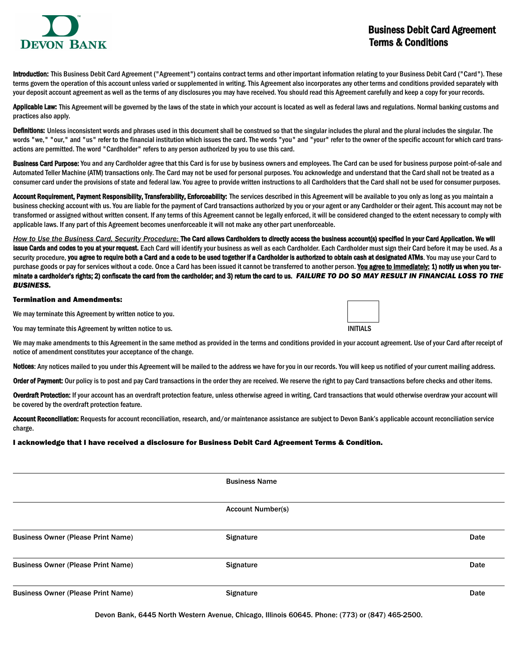

## Business Debit Card Agreement Terms & Conditions

Introduction: This Business Debit Card Agreement ("Agreement") contains contract terms and other important information relating to your Business Debit Card ("Card"). These terms govern the operation of this account unless varied or supplemented in writing. This Agreement also incorporates any other terms and conditions provided separately with your deposit account agreement as well as the terms of any disclosures you may have received. You should read this Agreement carefully and keep a copy for your records.

Applicable Law: This Agreement will be governed by the laws of the state in which your account is located as well as federal laws and regulations. Normal banking customs and practices also apply.

Definitions: Unless inconsistent words and phrases used in this document shall be construed so that the singular includes the plural and the plural includes the singular. The words "we," "our," and "us" refer to the financial institution which issues the card. The words "you" and "your" refer to the owner of the specific account for which card transactions are permitted. The word "Cardholder" refers to any person authorized by you to use this card.

Business Card Purpose: You and any Cardholder agree that this Card is for use by business owners and employees. The Card can be used for business purpose point-of-sale and Automated Teller Machine (ATM) transactions only. The Card may not be used for personal purposes. You acknowledge and understand that the Card shall not be treated as a consumer card under the provisions of state and federal law. You agree to provide written instructions to all Cardholders that the Card shall not be used for consumer purposes.

Account Requirement, Payment Responsibility, Transferability, Enforceability: The services described in this Agreement will be available to you only as long as you maintain a business checking account with us. You are liable for the payment of Card transactions authorized by you or your agent or any Cardholder or their agent. This account may not be transformed or assigned without written consent. If any terms of this Agreement cannot be legally enforced, it will be considered changed to the extent necessary to comply with applicable laws. If any part of this Agreement becomes unenforceable it will not make any other part unenforceable.

*How to Use the Business Card, Security Procedure:* The Card allows Cardholders to directly access the business account(s) specified in your Card Application. We will issue Cards and codes to you at your request. Each Card will identify your business as well as each Cardholder. Each Cardholder must sign their Card before it may be used. As a security procedure, you agree to require both a Card and a code to be used together if a Cardholder is authorized to obtain cash at designated ATMs. You may use your Card to purchase goods or pay for services without a code. Once a Card has been issued it cannot be transferred to another person. You agree to immediately: 1) notify us when you terminate a cardholder's rights; 2) confiscate the card from the cardholder; and 3) return the card to us. *FAILURE TO DO SO MAY RESULT IN FINANCIAL LOSS TO THE BUSINESS.*

#### Termination and Amendments:

We may terminate this Agreement by written notice to you.

You may terminate this Agreement by written notice to us. INITIALS

We may make amendments to this Agreement in the same method as provided in the terms and conditions provided in your account agreement. Use of your Card after receipt of notice of amendment constitutes your acceptance of the change.

Notices: Any notices mailed to you under this Agreement will be mailed to the address we have for you in our records. You will keep us notified of your current mailing address.

Order of Payment: Our policy is to post and pay Card transactions in the order they are received. We reserve the right to pay Card transactions before checks and other items.

Overdraft Protection: If your account has an overdraft protection feature, unless otherwise agreed in writing, Card transactions that would otherwise overdraw your account will be covered by the overdraft protection feature.

Account Reconciliation: Requests for account reconciliation, research, and/or maintenance assistance are subject to Devon Bank's applicable account reconciliation service charge.

I acknowledge that I have received a disclosure for Business Debit Card Agreement Terms & Condition.

|                                           | <b>Business Name</b>     |      |
|-------------------------------------------|--------------------------|------|
|                                           |                          |      |
|                                           |                          |      |
|                                           | <b>Account Number(s)</b> |      |
|                                           |                          |      |
| <b>Business Owner (Please Print Name)</b> | Signature                | Date |
|                                           |                          |      |
|                                           |                          |      |
| <b>Business Owner (Please Print Name)</b> | Signature                | Date |
|                                           |                          |      |
| <b>Business Owner (Please Print Name)</b> | <b>Signature</b>         | Date |
|                                           |                          |      |

Devon Bank, 6445 North Western Avenue, Chicago, Illinois 60645. Phone: (773) or (847) 465-2500.